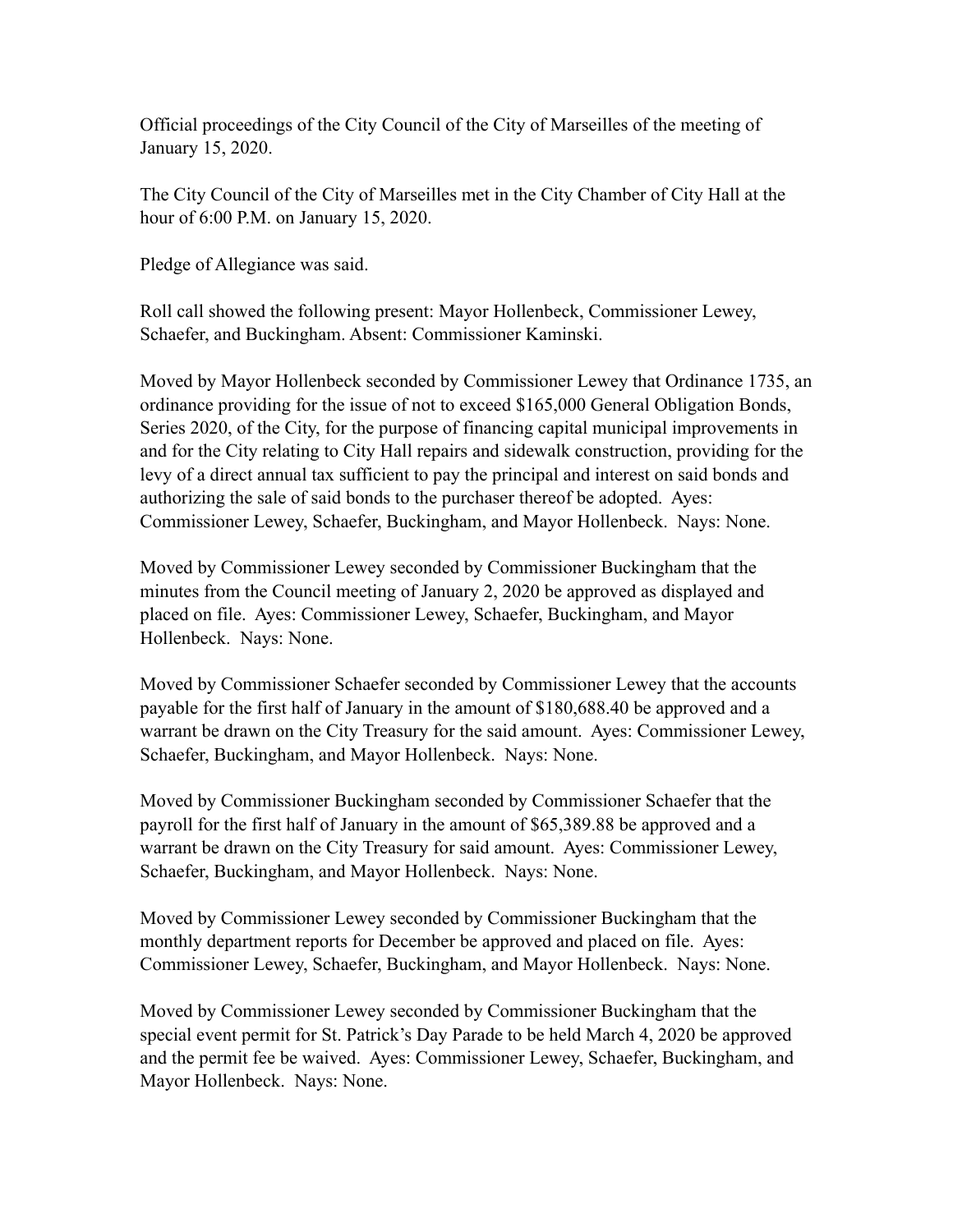Official proceedings of the City Council of the City of Marseilles of the meeting of January 15, 2020.

The City Council of the City of Marseilles met in the City Chamber of City Hall at the hour of 6:00 P.M. on January 15, 2020.

Pledge of Allegiance was said.

Roll call showed the following present: Mayor Hollenbeck, Commissioner Lewey, Schaefer, and Buckingham. Absent: Commissioner Kaminski.

Moved by Mayor Hollenbeck seconded by Commissioner Lewey that Ordinance 1735, an ordinance providing for the issue of not to exceed \$165,000 General Obligation Bonds, Series 2020, of the City, for the purpose of financing capital municipal improvements in and for the City relating to City Hall repairs and sidewalk construction, providing for the levy of a direct annual tax sufficient to pay the principal and interest on said bonds and authorizing the sale of said bonds to the purchaser thereof be adopted. Ayes: Commissioner Lewey, Schaefer, Buckingham, and Mayor Hollenbeck. Nays: None.

Moved by Commissioner Lewey seconded by Commissioner Buckingham that the minutes from the Council meeting of January 2, 2020 be approved as displayed and placed on file. Ayes: Commissioner Lewey, Schaefer, Buckingham, and Mayor Hollenbeck. Nays: None.

Moved by Commissioner Schaefer seconded by Commissioner Lewey that the accounts payable for the first half of January in the amount of \$180,688.40 be approved and a warrant be drawn on the City Treasury for the said amount. Ayes: Commissioner Lewey, Schaefer, Buckingham, and Mayor Hollenbeck. Nays: None.

Moved by Commissioner Buckingham seconded by Commissioner Schaefer that the payroll for the first half of January in the amount of \$65,389.88 be approved and a warrant be drawn on the City Treasury for said amount. Ayes: Commissioner Lewey, Schaefer, Buckingham, and Mayor Hollenbeck. Nays: None.

Moved by Commissioner Lewey seconded by Commissioner Buckingham that the monthly department reports for December be approved and placed on file. Ayes: Commissioner Lewey, Schaefer, Buckingham, and Mayor Hollenbeck. Nays: None.

Moved by Commissioner Lewey seconded by Commissioner Buckingham that the special event permit for St. Patrick's Day Parade to be held March 4, 2020 be approved and the permit fee be waived. Ayes: Commissioner Lewey, Schaefer, Buckingham, and Mayor Hollenbeck. Nays: None.